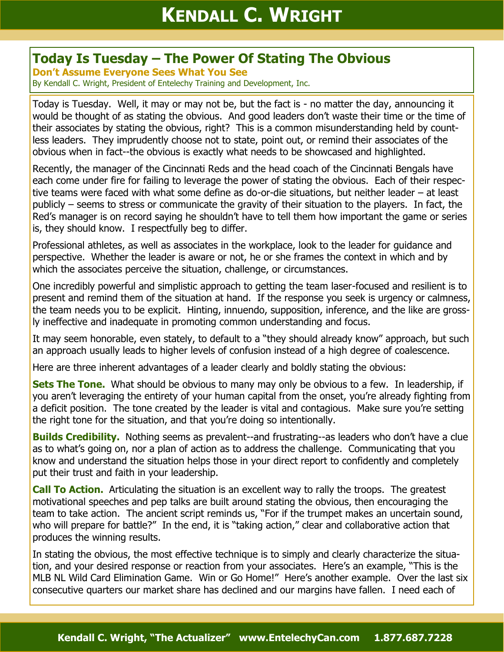## **Today Is Tuesday – The Power Of Stating The Obvious**

**Don't Assume Everyone Sees What You See**

By Kendall C. Wright, President of Entelechy Training and Development, Inc.

Today is Tuesday. Well, it may or may not be, but the fact is - no matter the day, announcing it would be thought of as stating the obvious. And good leaders don't waste their time or the time of their associates by stating the obvious, right? This is a common misunderstanding held by countless leaders. They imprudently choose not to state, point out, or remind their associates of the obvious when in fact--the obvious is exactly what needs to be showcased and highlighted.

Recently, the manager of the Cincinnati Reds and the head coach of the Cincinnati Bengals have each come under fire for failing to leverage the power of stating the obvious. Each of their respective teams were faced with what some define as do-or-die situations, but neither leader – at least publicly – seems to stress or communicate the gravity of their situation to the players. In fact, the Red's manager is on record saying he shouldn't have to tell them how important the game or series is, they should know. I respectfully beg to differ.

Professional athletes, as well as associates in the workplace, look to the leader for guidance and perspective. Whether the leader is aware or not, he or she frames the context in which and by which the associates perceive the situation, challenge, or circumstances.

One incredibly powerful and simplistic approach to getting the team laser-focused and resilient is to present and remind them of the situation at hand. If the response you seek is urgency or calmness, the team needs you to be explicit. Hinting, innuendo, supposition, inference, and the like are grossly ineffective and inadequate in promoting common understanding and focus.

It may seem honorable, even stately, to default to a "they should already know" approach, but such an approach usually leads to higher levels of confusion instead of a high degree of coalescence.

Here are three inherent advantages of a leader clearly and boldly stating the obvious:

**Sets The Tone.** What should be obvious to many may only be obvious to a few. In leadership, if you aren't leveraging the entirety of your human capital from the onset, you're already fighting from a deficit position. The tone created by the leader is vital and contagious. Make sure you're setting the right tone for the situation, and that you're doing so intentionally.

**Builds Credibility.** Nothing seems as prevalent--and frustrating--as leaders who don't have a clue as to what's going on, nor a plan of action as to address the challenge. Communicating that you know and understand the situation helps those in your direct report to confidently and completely put their trust and faith in your leadership.

**Call To Action.** Articulating the situation is an excellent way to rally the troops. The greatest motivational speeches and pep talks are built around stating the obvious, then encouraging the team to take action. The ancient script reminds us, "For if the trumpet makes an uncertain sound, who will prepare for battle?" In the end, it is "taking action," clear and collaborative action that produces the winning results.

In stating the obvious, the most effective technique is to simply and clearly characterize the situation, and your desired response or reaction from your associates. Here's an example, "This is the MLB NL Wild Card Elimination Game. Win or Go Home!" Here's another example. Over the last six consecutive quarters our market share has declined and our margins have fallen. I need each of